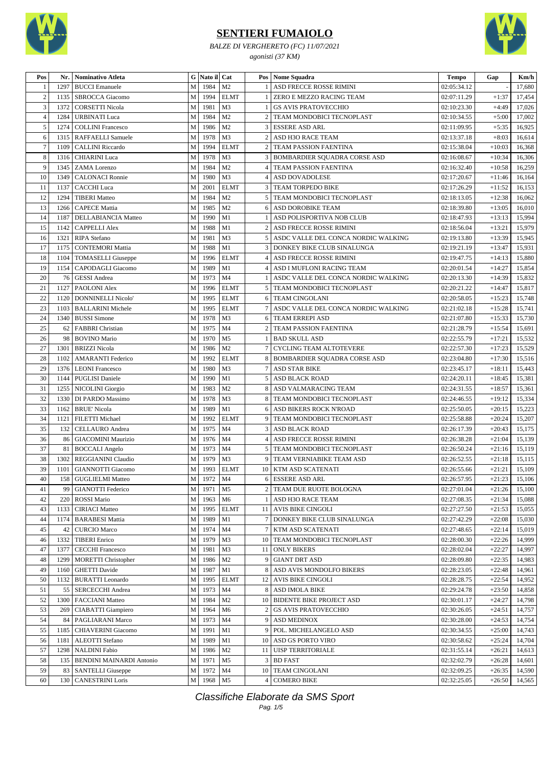

*BALZE DI VERGHERETO (FC) 11/07/2021 agonisti (37 KM)*



| Pos            | Nr.          | Nominativo Atleta                                |                            | G Nato il Cat |                      |                     | <b>Pos</b> Nome Squadra                              | <b>Tempo</b>               | Gap                  | Km/h             |
|----------------|--------------|--------------------------------------------------|----------------------------|---------------|----------------------|---------------------|------------------------------------------------------|----------------------------|----------------------|------------------|
| 1              | 1297         | <b>BUCCI</b> Emanuele                            | M                          | 1984          | M <sub>2</sub>       |                     | ASD FRECCE ROSSE RIMINI                              | 02:05:34.12                |                      | 17,680           |
| $\mathbf{2}$   | 1135         | SBROCCA Giacomo                                  | $\mathbf M$                | 1994          | <b>ELMT</b>          | 1                   | ZERO E MEZZO RACING TEAM                             | 02:07:11.29                | $+1:37$              | 17,454           |
| 3              | 1372         | <b>CORSETTI Nicola</b>                           | M                          | 1981          | M <sub>3</sub>       | 1 <sup>1</sup>      | <b>GS AVIS PRATOVECCHIO</b>                          | 02:10:23.30                | $+4:49$              | 17,026           |
| $\overline{4}$ | 1284         | <b>URBINATI Luca</b>                             | M                          | 1984          | M <sub>2</sub>       | $\overline{2}$      | TEAM MONDOBICI TECNOPLAST                            | 02:10:34.55                | $+5:00$              | 17,002           |
| 5              | 1274         | <b>COLLINI Francesco</b>                         | M                          | 1986          | M <sub>2</sub>       |                     | 3 ESSERE ASD ARL                                     | 02:11:09.95                | $+5:35$              | 16,925           |
| 6              | 1315         | <b>RAFFAELLI Samuele</b>                         | M                          | 1978          | M <sub>3</sub>       | $\overline{2}$      | ASD H3O RACE TEAM                                    | 02:13:37.18                | $+8:03$              | 16,614           |
| $\overline{7}$ | 1109         | <b>CALLINI Riccardo</b>                          | M                          | 1994          | <b>ELMT</b>          | 2                   | TEAM PASSION FAENTINA                                | 02:15:38.04                | $+10:03$             | 16,368           |
| $\,8\,$        | 1316         | <b>CHIARINI</b> Luca                             | $\mathbf M$                | 1978          | M <sub>3</sub>       |                     | 3   BOMBARDIER SQUADRA CORSE ASD                     | 02:16:08.67                | $+10:34$             | 16,306           |
| 9              | 1345         | <b>ZAMA</b> Lorenzo                              | M                          | 1984          | M <sub>2</sub>       | $\vert 4 \vert$     | TEAM PASSION FAENTINA                                | 02:16:32.40                | $+10:58$             | 16,259           |
| 10             | 1349         | <b>CALONACI</b> Ronnie                           | M                          | 1980          | M <sub>3</sub>       | 4                   | ASD DOVADOLESE                                       | 02:17:20.67                | $+11:46$             | 16,164           |
| 11             | 1137         | <b>CACCHI</b> Luca                               | M                          | 2001          | <b>ELMT</b>          | 3 I                 | <b>TEAM TORPEDO BIKE</b>                             | 02:17:26.29                | $+11:52$             | 16,153           |
| 12             | 1294         | <b>TIBERI</b> Matteo                             | M                          | 1984          | M <sub>2</sub>       | 5 <sup>1</sup>      | TEAM MONDOBICI TECNOPLAST                            | 02:18:13.05                | $+12:38$             | 16,062           |
| 13             | 1266         | <b>CAPECE Mattia</b>                             | M                          | 1985          | M <sub>2</sub>       | 6                   | ASD DOROBIKE TEAM                                    | 02:18:39.80                | $+13:05$             | 16,010           |
| 14             | 1187         | DELLABIANCIA Matteo                              | M                          | 1990          | M1                   |                     | ASD POLISPORTIVA NOB CLUB                            | 02:18:47.93                | $+13:13$             | 15,994           |
| 15             | 1142         | <b>CAPPELLI Alex</b>                             | M                          | 1988          | M1                   | $\overline{2}$      | ASD FRECCE ROSSE RIMINI                              | 02:18:56.04                | $+13:21$             | 15,979           |
| 16             | 1321         | RIPA Stefano                                     | M                          | 1981          | M <sub>3</sub>       |                     | 5 ASDC VALLE DEL CONCA NORDIC WALKING                | 02:19:13.80                | $+13:39$             | 15,945           |
| 17             | 1175         | <b>CONTEMORI Mattia</b>                          | M                          | 1988          | M1                   | $\overline{3}$      | DONKEY BIKE CLUB SINALUNGA                           | 02:19:21.19                | $+13:47$             | 15,931           |
| 18             | 1104         | <b>TOMASELLI</b> Giuseppe                        | M                          | 1996          | <b>ELMT</b>          | 4                   | ASD FRECCE ROSSE RIMINI                              | 02:19:47.75                | $+14:13$             | 15,880           |
| 19             | 1154         | CAPODAGLI Giacomo                                | M                          | 1989          | M1                   | 4                   | ASD I MUFLONI RACING TEAM                            | 02:20:01.54                | $+14:27$             | 15,854           |
| 20             | 76           | <b>GESSI</b> Andrea                              | M                          | 1973          | M <sub>4</sub>       |                     | ASDC VALLE DEL CONCA NORDIC WALKING                  | 02:20:13.30                | $+14:39$             | 15,832           |
| 21             | 1127         | PAOLONI Alex                                     | M                          | 1996          | <b>ELMT</b>          |                     | 5   TEAM MONDOBICI TECNOPLAST                        | 02:20:21.22                | $+14:47$             | 15,817           |
| 22             | 1120         | <b>DONNINELLI Nicolo'</b>                        | M                          | 1995          | <b>ELMT</b>          |                     | 6   TEAM CINGOLANI                                   | 02:20:58.05                | $+15:23$             | 15,748           |
| 23             | 1103         | <b>BALLARINI Michele</b>                         | M                          | 1995          | <b>ELMT</b>          |                     | 7 ASDC VALLE DEL CONCA NORDIC WALKING                | 02:21:02.18                | $+15:28$             | 15,741           |
| 24             | 1340         | <b>BUSSI</b> Simone                              | $\mathbf M$                | 1978          | M3                   |                     | 6 TEAM ERREPI ASD                                    | 02:21:07.80                | $+15:33$             | 15,730           |
| 25             | 62           | <b>FABBRI</b> Christian                          | M                          | 1975          | M4                   | 2                   | TEAM PASSION FAENTINA                                | 02:21:28.79                | $+15:54$             | 15,691           |
| 26             | 98           | <b>BOVINO</b> Mario                              | M                          | 1970          | M <sub>5</sub>       |                     | 1   BAD SKULL ASD                                    | 02:22:55.79                | $+17:21$             | 15,532           |
| 27             | 1301         | <b>BRIZZI Nicola</b>                             | M                          | 1986          | M <sub>2</sub>       | 7 <sup>1</sup>      | <b>CYCLING TEAM ALTOTEVERE</b>                       | 02:22:57.30                | $+17:23$             | 15,529           |
| 28             | 1102         | <b>AMARANTI</b> Federico                         | M                          | 1992          | <b>ELMT</b>          |                     | 8 BOMBARDIER SQUADRA CORSE ASD                       | 02:23:04.80                | $+17:30$             | 15,516           |
| 29             | 1376         | <b>LEONI</b> Francesco                           | M                          | 1980          | M <sub>3</sub>       |                     | 7   ASD STAR BIKE                                    | 02:23:45.17                | $+18:11$             | 15,443           |
| 30             | 1144         | <b>PUGLISI</b> Daniele                           | M                          | 1990          | M1                   |                     | 5 ASD BLACK ROAD                                     | 02:24:20.11                | $+18:45$             | 15,381           |
| 31             | 1255         | NICOLINI Giorgio                                 | M                          | 1983          | M <sub>2</sub>       | 8                   | ASD VALMARACING TEAM                                 | 02:24:31.55                | $+18:57$             | 15,361           |
| 32             | 1330         | DI PARDO Massimo                                 | M                          | 1978          | M <sub>3</sub>       | 8                   | TEAM MONDOBICI TECNOPLAST                            | 02:24:46.55                | $+19:12$             | 15,334           |
| 33             | 1162         | <b>BRUE' Nicola</b>                              | M                          | 1989          | M1                   |                     | 6 ASD BIKERS ROCK N'ROAD                             | 02:25:50.05                | $+20:15$             | 15,223           |
| 34             | 1121         |                                                  | M                          | 1992          | <b>ELMT</b>          | 9                   | TEAM MONDOBICI TECNOPLAST                            |                            | $+20:24$             | 15,207           |
| 35             | 132          | FILETTI Michael<br><b>CELLAURO</b> Andrea        | M                          | 1975          | M <sub>4</sub>       | 3 I                 | <b>ASD BLACK ROAD</b>                                | 02:25:58.88<br>02:26:17.39 | $+20:43$             | 15,175           |
| 36             | 86           |                                                  | M                          | 1976          | M <sub>4</sub>       | 4                   |                                                      |                            | $+21:04$             | 15,139           |
| 37             |              | <b>GIACOMINI Maurizio</b>                        | M                          | 1973          | M4                   |                     | ASD FRECCE ROSSE RIMINI<br>TEAM MONDOBICI TECNOPLAST | 02:26:38.28<br>02:26:50.24 | $+21:16$             | 15,119           |
| 38             | 81           | <b>BOCCALI</b> Angelo                            |                            | 1979          | M <sub>3</sub>       | 5 <sup>1</sup><br>9 |                                                      |                            |                      |                  |
| 39             | 1302<br>1101 | REGGIANINI Claudio                               | M<br>$\mathbf M$           | 1993          | <b>ELMT</b>          |                     | TEAM VERNIABIKE TEAM ASD                             | 02:26:52.55                | $+21:18$<br>$+21:21$ | 15,115           |
|                |              | <b>GIANNOTTI Giacomo</b><br>158 GUGLIELMI Matteo |                            | 1972 M4       |                      |                     | 10   KTM ASD SCATENATI                               | 02:26:55.66                | $+21:23$             | 15,109<br>15,106 |
| 40             |              |                                                  | M                          |               |                      |                     | 6 ESSERE ASD ARL                                     | 02:26:57.95                |                      |                  |
| 41             | 99           | <b>GIANOTTI Federico</b>                         | $\mathbf M$                | 1971          | M <sub>5</sub>       |                     | 2   TEAM DUE RUOTE BOLOGNA                           | 02:27:01.04                | $+21:26$             | 15,100           |
| 42             | 220          | ROSSI Mario                                      | M                          | 1963          | M <sub>6</sub>       |                     | 1   ASD H3O RACE TEAM                                | 02:27:08.35                | $+21:34$             | 15,088           |
| 43             | 1133         | <b>CIRIACI</b> Matteo                            | $\mathbf M$<br>$\mathbf M$ | 1995          | <b>ELMT</b>          |                     | 11   AVIS BIKE CINGOLI                               | 02:27:27.50                | $+21:53$             | 15,055           |
| 44             | 1174         | <b>BARABESI Mattia</b>                           |                            | 1989          | M1                   |                     | 7 DONKEY BIKE CLUB SINALUNGA                         | 02:27:42.29                | $+22:08$             | 15,030           |
| 45             | 42           | <b>CURCIO Marco</b><br><b>TIBERI</b> Enrico      | M                          | 1974          | M4                   | 7 I                 | KTM ASD SCATENATI<br>10 TEAM MONDOBICI TECNOPLAST    | 02:27:48.65                | $+22:14$             | 15,019           |
| 46             | 1332         |                                                  | $\mathbf M$                | 1979          | M <sub>3</sub><br>M3 |                     |                                                      | 02:28:00.30                | $+22:26$             | 14,999           |
| 47             | 1377         | <b>CECCHI Francesco</b>                          | $\mathbf M$                | 1981          |                      |                     | 11 ONLY BIKERS                                       | 02:28:02.04                | $+22:27$             | 14,997           |
| 48             | 1299         | <b>MORETTI Christopher</b>                       | $\mathbf M$                | 1986          | M <sub>2</sub>       |                     | 9 GIANT DRT ASD                                      | 02:28:09.80                | $+22:35$             | 14,983           |
| 49             | 1160         | <b>GHETTI</b> Davide                             | $\mathbf M$                | 1987          | M1                   |                     | 8 ASD AVIS MONDOLFO BIKERS                           | 02:28:23.05                | $+22:48$             | 14,961           |
| 50             | 1132         | <b>BURATTI</b> Leonardo                          | $\mathbf M$                | 1995          | <b>ELMT</b>          |                     | 12 AVIS BIKE CINGOLI                                 | 02:28:28.75                | $+22:54$             | 14,952           |
| 51             | 55           | <b>SERCECCHI</b> Andrea                          | $\mathbf M$                | 1973          | M4                   |                     | 8 ASD IMOLA BIKE                                     | 02:29:24.78                | $+23:50$             | 14,858           |
| 52             | 1300         | <b>FACCIANI Matteo</b>                           | $\mathbf M$                | 1984          | M <sub>2</sub>       |                     | 10 BIDENTE BIKE PROJECT ASD                          | 02:30:01.17                | $+24:27$             | 14,798           |
| 53             | 269          | CIABATTI Giampiero                               | $\mathbf M$                | 1964          | M <sub>6</sub>       | $\overline{2}$      | <b>GS AVIS PRATOVECCHIO</b>                          | 02:30:26.05                | $+24:51$             | 14,757           |
| 54             | 84           | PAGLIARANI Marco                                 | $\mathbf M$                | 1973          | M <sub>4</sub>       |                     | 9 ASD MEDINOX                                        | 02:30:28.00                | $+24:53$             | 14,754           |
| 55             | 1185         | CHIAVERINI Giacomo                               | $\mathbf M$                | 1991          | M1                   |                     | 9 POL. MICHELANGELO ASD                              | 02:30:34.55                | $+25:00$             | 14,743           |
| 56             | 1181         | <b>ALEOTTI</b> Stefano                           | $\mathbf M$                | 1989          | M1                   |                     | 10 ASD GS PORTO VIRO                                 | 02:30:58.62                | $+25:24$             | 14,704           |
| 57             | 1298         | <b>NALDINI Fabio</b>                             | M                          | 1986          | M <sub>2</sub>       |                     | 11   UISP TERRITORIALE                               | 02:31:55.14                | $+26:21$             | 14,613           |
| 58             | 135          | <b>BENDINI MAINARDI Antonio</b>                  | M                          | 1971          | M5                   | 3 <sup>1</sup>      | <b>BD FAST</b>                                       | 02:32:02.79                | $+26:28$             | 14,601           |
| 59             |              | 83   SANTELLI Giuseppe                           | $\mathbf M$                | 1972          | M4                   |                     | 10 TEAM CINGOLANI                                    | 02:32:09.25                | $+26:35$             | 14,590           |
| 60             | 130          | <b>CANESTRINI Loris</b>                          | M                          | 1968          | M <sub>5</sub>       | $\overline{4}$      | <b>COMERO BIKE</b>                                   | 02:32:25.05                | $+26:50$             | 14,565           |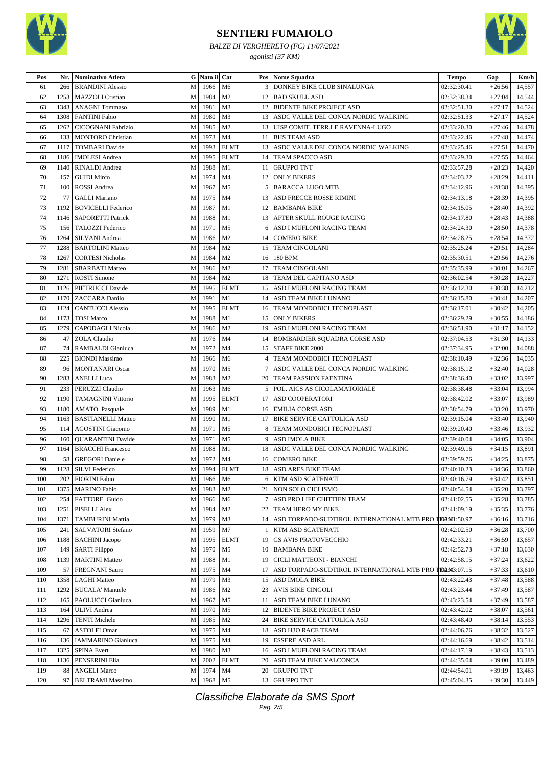

*BALZE DI VERGHERETO (FC) 11/07/2021 agonisti (37 KM)*



| Pos | Nr.  | Nominativo Atleta         |              | G Nato il Cat       |                |                 | Pos   Nome Squadra                              | <b>Tempo</b>        | Gap      | Km/h   |
|-----|------|---------------------------|--------------|---------------------|----------------|-----------------|-------------------------------------------------|---------------------|----------|--------|
| 61  | 266  | <b>BRANDINI Alessio</b>   | M            | 1966                | M <sub>6</sub> | 3               | DONKEY BIKE CLUB SINALUNGA                      | 02:32:30.41         | $+26:56$ | 14,557 |
| 62  | 1253 | MAZZOLI Cristian          | $\mathbf M$  | 1984                | M <sub>2</sub> |                 | 12   BAD SKULL ASD                              | 02:32:38.34         | $+27:04$ | 14,544 |
| 63  | 1343 | <b>ANAGNI</b> Tommaso     | ${\bf M}$    | 1981                | M <sub>3</sub> |                 | 12   BIDENTE BIKE PROJECT ASD                   | 02:32:51.30         | $+27:17$ | 14,524 |
| 64  | 1308 | <b>FANTINI Fabio</b>      | M            | 1980                | M <sub>3</sub> |                 | 13 ASDC VALLE DEL CONCA NORDIC WALKING          | 02:32:51.33         | $+27:17$ | 14,524 |
| 65  | 1262 | <b>CICOGNANI Fabrizio</b> | $\mathbf M$  | 1985                | M <sub>2</sub> | 13              | UISP COMIT. TERR.LE RAVENNA-LUGO                | 02:33:20.30         | $+27:46$ | 14,478 |
| 66  | 133  | <b>MONTORO</b> Christian  | $\mathbf M$  | 1973                | M <sub>4</sub> |                 | 11 BHS TEAM ASD                                 | 02:33:22.46         | $+27:48$ | 14,474 |
| 67  | 1117 | <b>TOMBARI</b> Davide     | ${\bf M}$    | 1993                | <b>ELMT</b>    | 13              | ASDC VALLE DEL CONCA NORDIC WALKING             | 02:33:25.46         | $+27:51$ | 14,470 |
| 68  | 1186 | <b>IMOLESI</b> Andrea     | $\mathbf M$  | 1995                | <b>ELMT</b>    | 14              | TEAM SPACCO ASD                                 | 02:33:29.30         | $+27:55$ | 14,464 |
| 69  | 1140 | RINALDI Andrea            | $\mathbf M$  | 1988                | M1             | 11              | <b>GRUPPO TNT</b>                               | 02:33:57.28         | $+28:23$ | 14,420 |
| 70  | 157  | <b>GUIDI Mirco</b>        | M            | 1974                | M <sub>4</sub> | 12              | <b>ONLY BIKERS</b>                              | 02:34:03.22         | $+28:29$ | 14,411 |
| 71  | 100  | <b>ROSSI</b> Andrea       | $\mathbf M$  | 1967                | M <sub>5</sub> | 5 <sup>1</sup>  | <b>BARACCA LUGO MTB</b>                         | 02:34:12.96         | $+28:38$ | 14,395 |
| 72  | 77   | <b>GALLI Mariano</b>      | $\mathbf M$  | 1975                | M <sub>4</sub> | 13              | ASD FRECCE ROSSE RIMINI                         | 02:34:13.18         | $+28:39$ | 14,395 |
| 73  | 1192 | <b>BOVICELLI Federico</b> | ${\bf M}$    | 1987                | M1             | 12 <sup>1</sup> | <b>BAMBANA BIKE</b>                             | 02:34:15.05         | $+28:40$ | 14,392 |
| 74  | 1146 | <b>SAPORETTI Patrick</b>  | $\mathbf{M}$ | 1988                | M1             |                 | 13   AFTER SKULL ROUGE RACING                   | 02:34:17.80         | $+28:43$ | 14,388 |
| 75  | 156  | TALOZZI Federico          | $\mathbf M$  | 1971                | M <sub>5</sub> | 6               | ASD I MUFLONI RACING TEAM                       | 02:34:24.30         | $+28:50$ | 14,378 |
| 76  | 1264 | SILVANI Andrea            | ${\bf M}$    | 1986                | M <sub>2</sub> | 14              | <b>COMERO BIKE</b>                              | 02:34:28.25         | $+28:54$ | 14,372 |
| 77  | 1288 | <b>BARTOLINI Matteo</b>   | $\mathbf M$  | 1984                | M <sub>2</sub> | 15 <sup>1</sup> | <b>TEAM CINGOLANI</b>                           | 02:35:25.24         | $+29:51$ | 14,284 |
| 78  | 1267 | <b>CORTESI Nicholas</b>   | $\mathbf M$  | 1984                | M <sub>2</sub> | 16              | 180 BPM                                         | 02:35:30.51         | $+29:56$ | 14,276 |
| 79  | 1281 | <b>SBARBATI Matteo</b>    | ${\bf M}$    | 1986                | M <sub>2</sub> | 17              | <b>TEAM CINGOLANI</b>                           | 02:35:35.99         | $+30:01$ | 14,267 |
| 80  | 1271 | <b>ROSTI</b> Simone       | ${\bf M}$    | 1984                | M <sub>2</sub> | 18              | TEAM DEL CAPITANO ASD                           | 02:36:02.54         | $+30:28$ | 14,227 |
| 81  | 1126 | PIETRUCCI Davide          | $\mathbf M$  | 1995                | <b>ELMT</b>    |                 | 15   ASD I MUFLONI RACING TEAM                  | 02:36:12.30         | $+30:38$ | 14,212 |
| 82  |      | 1170   ZACCARA Danilo     | $\mathbf M$  | 1991                | M1             | 14              | ASD TEAM BIKE LUNANO                            | 02:36:15.80         | $+30:41$ | 14,207 |
| 83  | 1124 | <b>CANTUCCI Alessio</b>   | M            | 1995                | <b>ELMT</b>    |                 | 16   TEAM MONDOBICI TECNOPLAST                  | 02:36:17.01         | $+30:42$ | 14,205 |
| 84  | 1173 | <b>TOSI Marco</b>         | $\mathbf M$  | 1988                | M1             | 15              | <b>ONLY BIKERS</b>                              | 02:36:29.29         | $+30:55$ | 14,186 |
| 85  | 1279 | <b>CAPODAGLI Nicola</b>   | ${\bf M}$    | 1986                | M <sub>2</sub> | 19              | ASD I MUFLONI RACING TEAM                       | 02:36:51.90         | $+31:17$ | 14,152 |
| 86  | 47   | <b>ZOLA Claudio</b>       | M            | 1976                | M <sub>4</sub> | 14              | <b>BOMBARDIER SQUADRA CORSE ASD</b>             | 02:37:04.53         | $+31:30$ | 14,133 |
| 87  | 74   | RAMBALDI Gianluca         | $\mathbf M$  | 1972                | M <sub>4</sub> |                 | 15 STAFF BIKE 2000                              | 02:37:34.95         | $+32:00$ | 14,088 |
| 88  | 225  | <b>BIONDI</b> Massimo     | M            | 1966                | M <sub>6</sub> | 4               | TEAM MONDOBICI TECNOPLAST                       | 02:38:10.49         | $+32:36$ | 14,035 |
| 89  | 96   | <b>MONTANARI</b> Oscar    | M            | 1970                | M <sub>5</sub> | 7               | ASDC VALLE DEL CONCA NORDIC WALKING             | 02:38:15.12         | $+32:40$ | 14,028 |
| 90  | 1283 | <b>ANELLI</b> Luca        | $\mathbf M$  | 1983                | M <sub>2</sub> |                 | 20   TEAM PASSION FAENTINA                      | 02:38:36.40         | $+33:02$ | 13,997 |
| 91  | 233  | PERUZZI Claudio           | $\mathbf M$  | 1963                | M <sub>6</sub> | 5               | POL. AICS AS CICOLAMATORIALE                    | 02:38:38.48         | $+33:04$ | 13,994 |
| 92  | 1190 | <b>TAMAGNINI Vittorio</b> | ${\bf M}$    | 1995                | <b>ELMT</b>    | 17              | <b>ASD COOPERATORI</b>                          | 02:38:42.02         | $+33:07$ | 13,989 |
| 93  | 1180 | AMATO Pasquale            | ${\bf M}$    | 1989                | M1             |                 | 16 EMILIA CORSE ASD                             | 02:38:54.79         | $+33:20$ | 13,970 |
| 94  | 1163 | <b>BASTIANELLI Matteo</b> | M            | 1990                | M1             | 17              | <b>BIKE SERVICE CATTOLICA ASD</b>               | 02:39:15.04         | $+33:40$ | 13,940 |
| 95  | 114  | <b>AGOSTINI</b> Giacomo   | M            | 1971                | M <sub>5</sub> | 8               | TEAM MONDOBICI TECNOPLAST                       | 02:39:20.40         | $+33:46$ | 13,932 |
| 96  | 160  | <b>QUARANTINI</b> Davide  | M            | 1971                | M <sub>5</sub> | 9               | ASD IMOLA BIKE                                  | 02:39:40.04         | $+34:05$ | 13,904 |
| 97  | 1164 | <b>BRACCHI Francesco</b>  | $\mathbf M$  | 1988                | M1             | 18              | ASDC VALLE DEL CONCA NORDIC WALKING             | 02:39:49.16         | $+34:15$ | 13,891 |
| 98  | 58   | <b>GREGORI</b> Daniele    | M            | 1972                | M <sub>4</sub> | 16              | <b>COMERO BIKE</b>                              | 02:39:59.76         | $+34:25$ | 13,875 |
| 99  | 1128 | <b>SILVI Federico</b>     | M            | 1994                | <b>ELMT</b>    | 18              | <b>ASD ARES BIKE TEAM</b>                       | 02:40:10.23         | $+34:36$ | 13,860 |
| 100 |      | 202 FIORINI Fabio         | M            | 1966 M <sub>6</sub> |                |                 | 6 KTM ASD SCATENATI                             | 02:40:16.79         | $+34:42$ | 13,851 |
| 101 |      | 1375   MARINO Fabio       | M            | 1983                | M <sub>2</sub> |                 | 21   NON SOLO CICLISMO                          | 02:40:54.54         | $+35:20$ | 13,797 |
| 102 | 254  | FATTORE Guido             | M            | 1966                | M <sub>6</sub> | 7               | ASD PRO LIFE CHITTIEN TEAM                      | 02:41:02.55         | $+35:28$ | 13,785 |
| 103 | 1251 | PISELLI Alex              | M            | 1984                | M <sub>2</sub> | 22              | TEAM HERO MY BIKE                               | 02:41:09.19         | $+35:35$ | 13,776 |
| 104 | 1371 | <b>TAMBURINI Mattia</b>   | $\mathbf M$  | 1979                | M3             | 14 <sup>1</sup> | ASD TORPADO-SUDTIROL INTERNATIONAL MTB PRO      | <b>TELAMI:50.97</b> | $+36:16$ | 13,716 |
| 105 | 241  | <b>SALVATORI Stefano</b>  | $\mathbf M$  | 1959                | M7             |                 | KTM ASD SCATENATI                               | 02:42:02.50         | $+36:28$ | 13,700 |
| 106 | 1188 | <b>BACHINI</b> Jacopo     | $\mathbf M$  | 1995                | <b>ELMT</b>    | 19              | <b>GS AVIS PRATOVECCHIO</b>                     | 02:42:33.21         | $+36:59$ | 13,657 |
| 107 | 149  | <b>SARTI Filippo</b>      | $\mathbf M$  | 1970                | M <sub>5</sub> |                 | 10 BAMBANA BIKE                                 | 02:42:52.73         | $+37:18$ | 13,630 |
| 108 | 1139 | <b>MARTINI</b> Matteo     | $\mathbf M$  | 1988                | M1             |                 | 19 CICLI MATTEONI - BIANCHI                     | 02:42:58.15         | $+37:24$ | 13,622 |
| 109 | 57   | <b>FREGNANI Sauro</b>     | $\mathbf M$  | 1975                | M <sub>4</sub> |                 | 17 ASD TORPADO-SUDTIROL INTERNATIONAL MTB PRO T | TEM2NAT3:07.15      | $+37:33$ | 13,610 |
| 110 | 1358 | <b>LAGHI</b> Matteo       | M            | 1979                | M3             |                 | 15 ASD IMOLA BIKE                               | 02:43:22.43         | $+37:48$ | 13,588 |
| 111 | 1292 | <b>BUCALA' Manuele</b>    | $\mathbf M$  | 1986                | M <sub>2</sub> | 23 <sup>1</sup> | AVIS BIKE CINGOLI                               | 02:43:23.44         | $+37:49$ | 13,587 |
| 112 | 165  | PAOLUCCI Gianluca         | ${\bf M}$    | 1967                | M <sub>5</sub> |                 | 11 ASD TEAM BIKE LUNANO                         | 02:43:23.54         | $+37:49$ | 13,587 |
| 113 | 164  | <b>ULIVI</b> Andrea       | M            | 1970                | M <sub>5</sub> |                 | 12 BIDENTE BIKE PROJECT ASD                     | 02:43:42.02         | $+38:07$ | 13,561 |
| 114 | 1296 | <b>TENTI Michele</b>      | $\mathbf M$  | 1985                | M <sub>2</sub> | 24              | <b>BIKE SERVICE CATTOLICA ASD</b>               | 02:43:48.40         | $+38:14$ | 13,553 |
| 115 | 67   | <b>ASTOLFI Omar</b>       | $\mathbf M$  | 1975                | M <sub>4</sub> |                 | 18 ASD H3O RACE TEAM                            | 02:44:06.76         | $+38:32$ | 13,527 |
| 116 | 136  | <b>IAMMARINO</b> Gianluca | M            | 1975                | M4             | 19              | <b>ESSERE ASD ARL</b>                           | 02:44:16.69         | $+38:42$ | 13,514 |
| 117 | 1325 | <b>SPINA Evert</b>        | $\mathbf M$  | 1980                | M3             |                 | 16 ASD I MUFLONI RACING TEAM                    | 02:44:17.19         | $+38:43$ | 13,513 |
| 118 | 1136 | PENSERINI Elia            | M            | 2002                | <b>ELMT</b>    |                 | 20 ASD TEAM BIKE VALCONCA                       | 02:44:35.04         | $+39:00$ | 13,489 |
| 119 | 88   | <b>ANGELI Marco</b>       | M            | 1974                | M <sub>4</sub> | 20              | <b>GRUPPO TNT</b>                               | 02:44:54.01         | $+39:19$ | 13,463 |
| 120 | 97   | <b>BELTRAMI</b> Massimo   | M            | 1968                | M <sub>5</sub> | 13 <sup>1</sup> | <b>GRUPPO TNT</b>                               | 02:45:04.35         | $+39:30$ | 13,449 |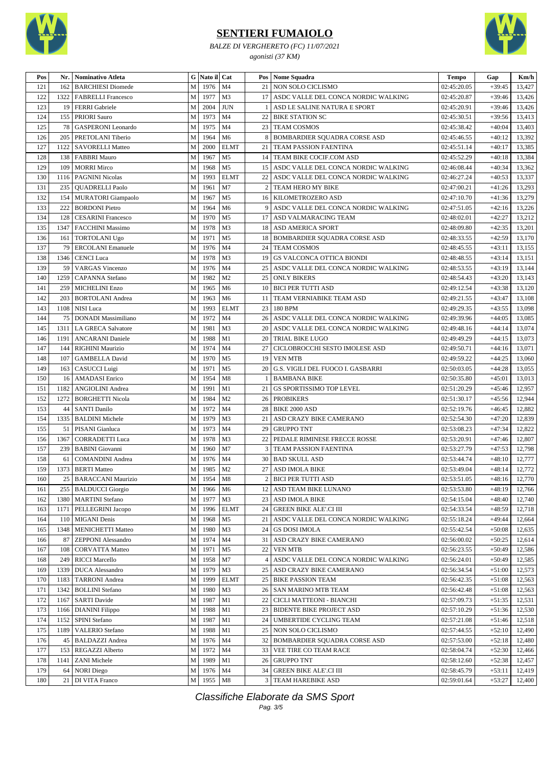

*BALZE DI VERGHERETO (FC) 11/07/2021 agonisti (37 KM)*



| Pos     |      | Nr.   Nominativo Atleta   |             | G Nato il Cat |                |                | Pos   Nome Squadra                       | $\bf Tempo$ | Gap      | Km/h             |
|---------|------|---------------------------|-------------|---------------|----------------|----------------|------------------------------------------|-------------|----------|------------------|
| 121     | 162  | <b>BARCHIESI</b> Diomede  | М           | 1976          | M <sub>4</sub> | 21             | NON SOLO CICLISMO                        | 02:45:20.05 | $+39:45$ | 13,427           |
| 122     | 1322 | <b>FABRELLI Francesco</b> | M           | 1977          | M <sub>3</sub> |                | 17 ASDC VALLE DEL CONCA NORDIC WALKING   | 02:45:20.87 | $+39:46$ | 13,426           |
| 123     | 19   | <b>FERRI</b> Gabriele     | M           | 2004          | <b>JUN</b>     |                | ASD LE SALINE NATURA E SPORT             | 02:45:20.91 | $+39:46$ | 13,426           |
| 124     | 155  | <b>PRIORI</b> Sauro       | M           | 1973          | M <sub>4</sub> | 22             | <b>BIKE STATION SC</b>                   | 02:45:30.51 | $+39:56$ | 13,413           |
| 125     | 78   | <b>GASPERONI</b> Leonardo | M           | 1975          | M <sub>4</sub> | 23             | <b>TEAM COSMOS</b>                       | 02:45:38.42 | $+40:04$ | 13,403           |
| 126     | 205  | PRETOLANI Tiberio         | M           | 1964          | M <sub>6</sub> | 8              | BOMBARDIER SQUADRA CORSE ASD             | 02:45:46.55 | $+40:12$ | 13,392           |
| 127     | 1122 | <b>SAVORELLI Matteo</b>   | ${\bf M}$   | 2000          | <b>ELMT</b>    | 21             | TEAM PASSION FAENTINA                    | 02:45:51.14 | $+40:17$ | 13,385           |
| 128     | 138  | <b>FABBRI Mauro</b>       | $\mathbf M$ | 1967          | M <sub>5</sub> |                | 14   TEAM BIKE COCIF.COM ASD             | 02:45:52.29 | $+40:18$ | 13,384           |
| 129     | 109  | <b>MORRI Mirco</b>        | M           | 1968          | M <sub>5</sub> |                | 15   ASDC VALLE DEL CONCA NORDIC WALKING | 02:46:08.44 | $+40:34$ | 13,362           |
| 130     | 1116 | <b>PAGNINI Nicolas</b>    | ${\bf M}$   | 1993          | <b>ELMT</b>    | 22             | ASDC VALLE DEL CONCA NORDIC WALKING      | 02:46:27.24 | $+40:53$ | 13,337           |
| 131     | 235  | <b>QUADRELLI Paolo</b>    | M           | 1961          | M7             | $\overline{2}$ | TEAM HERO MY BIKE                        | 02:47:00.21 | $+41:26$ | 13,293           |
| 132     | 154  | <b>MURATORI</b> Giampaolo | M           | 1967          | M <sub>5</sub> |                | 16 KILOMETROZERO ASD                     | 02:47:10.70 | $+41:36$ | 13,279           |
| 133     | 222  | <b>BORDONI</b> Pietro     | $\mathbf M$ | 1964          | M <sub>6</sub> | 9              | ASDC VALLE DEL CONCA NORDIC WALKING      | 02:47:51.05 | $+42:16$ |                  |
| 134     | 128  | <b>CESARINI Francesco</b> | M           | 1970          | M <sub>5</sub> |                | 17 ASD VALMARACING TEAM                  | 02:48:02.01 | $+42:27$ | 13,226<br>13,212 |
|         |      |                           |             |               |                |                |                                          |             |          |                  |
| 135     | 1347 | <b>FACCHINI Massimo</b>   | M           | 1978          | M3             |                | 18 ASD AMERICA SPORT                     | 02:48:09.80 | $+42:35$ | 13,201           |
| 136     | 161  | <b>TORTOLANI Ugo</b>      | M           | 1971          | M <sub>5</sub> |                | 18 BOMBARDIER SQUADRA CORSE ASD          | 02:48:33.55 | $+42:59$ | 13,170           |
| 137     | 79   | <b>ERCOLANI</b> Emanuele  | M           | 1976          | M4             |                | 24   TEAM COSMOS                         | 02:48:45.55 | $+43:11$ | 13,155           |
| 138     | 1346 | <b>CENCI</b> Luca         | M           | 1978          | M3             |                | 19 GS VALCONCA OTTICA BIONDI             | 02:48:48.55 | $+43:14$ | 13,151           |
| 139     | 59   | <b>VARGAS</b> Vincenzo    | M           | 1976          | M <sub>4</sub> |                | 25   ASDC VALLE DEL CONCA NORDIC WALKING | 02:48:53.55 | $+43:19$ | 13,144           |
| 140     | 1259 | <b>CAPANNA</b> Stefano    | M           | 1982          | M <sub>2</sub> |                | 25 ONLY BIKERS                           | 02:48:54.43 | $+43:20$ | 13,143           |
| 141     | 259  | <b>MICHELINI Enzo</b>     | M           | 1965          | M <sub>6</sub> |                | 10 BICI PER TUTTI ASD                    | 02:49:12.54 | $+43:38$ | 13,120           |
| 142     | 203  | <b>BORTOLANI</b> Andrea   | M           | 1963          | M <sub>6</sub> |                | 11   TEAM VERNIABIKE TEAM ASD            | 02:49:21.55 | $+43:47$ | 13,108           |
| 143     | 1108 | NISI Luca                 | M           | 1993          | <b>ELMT</b>    |                | 23 180 BPM                               | 02:49:29.35 | $+43:55$ | 13,098           |
| 144     | 75   | DONADI Massimiliano       | ${\bf M}$   | 1972          | M <sub>4</sub> |                | 26 ASDC VALLE DEL CONCA NORDIC WALKING   | 02:49:39.96 | $+44:05$ | 13,085           |
| 145     | 1311 | LA GRECA Salvatore        | M           | 1981          | M <sub>3</sub> | 20             | ASDC VALLE DEL CONCA NORDIC WALKING      | 02:49:48.16 | $+44:14$ | 13,074           |
| 146     | 1191 | <b>ANCARANI</b> Daniele   | ${\bf M}$   | 1988          | M1             | 20             | <b>TRIAL BIKE LUGO</b>                   | 02:49:49.29 | $+44:15$ | 13,073           |
| 147     | 144  | <b>RIGHINI Maurizio</b>   | M           | 1974          | M <sub>4</sub> | 27             | CICLOBROCCHI SESTO IMOLESE ASD           | 02:49:50.71 | $+44:16$ | 13,071           |
| 148     | 107  | <b>GAMBELLA David</b>     | M           | 1970          | M <sub>5</sub> |                | 19 VEN MTB                               | 02:49:59.22 | $+44:25$ | 13,060           |
| 149     | 163  | CASUCCI Luigi             | ${\bf M}$   | 1971          | M <sub>5</sub> | 20             | <b>G.S. VIGILI DEL FUOCO I. GASBARRI</b> | 02:50:03.05 | $+44:28$ | 13,055           |
| 150     | 16   | <b>AMADASI</b> Enrico     | M           | 1954          | M8             |                | <b>BAMBANA BIKE</b>                      | 02:50:35.80 | $+45:01$ | 13,013           |
| 151     | 1182 | <b>ANGIOLINI</b> Andrea   | M           | 1991          | M1             |                | 21 GS SPORTISSIMO TOP LEVEL              | 02:51:20.29 | $+45:46$ | 12,957           |
| 152     | 1272 | <b>BORGHETTI Nicola</b>   | M           | 1984          | M <sub>2</sub> |                | 26 PROBIKERS                             | 02:51:30.17 | $+45:56$ | 12,944           |
| 153     | 44   | <b>SANTI Danilo</b>       | M           | 1972          | M4             |                | 28 BIKE 2000 ASD                         | 02:52:19.76 | $+46:45$ | 12,882           |
| 154     | 1335 | <b>BALDINI</b> Michele    | M           | 1979          | M3             | 21             | ASD CRAZY BIKE CAMERANO                  | 02:52:54.30 | $+47:20$ | 12,839           |
| 155     | 51   | PISANI Gianluca           | M           | 1973          | M <sub>4</sub> | 29             | <b>GRUPPO TNT</b>                        | 02:53:08.23 | $+47:34$ | 12,822           |
| 156     | 1367 | <b>CORRADETTI Luca</b>    | M           | 1978          | M3             | 22             | PEDALE RIMINESE FRECCE ROSSE             | 02:53:20.91 | $+47:46$ | 12,807           |
| 157     | 239  | <b>BABINI</b> Giovanni    | M           | 1960          | M7             | 3              | TEAM PASSION FAENTINA                    | 02:53:27.79 | $+47:53$ | 12,798           |
| 158     | 61   | <b>COMANDINI</b> Andrea   | M           | 1976          | M <sub>4</sub> | 30             | <b>BAD SKULL ASD</b>                     | 02:53:44.74 | $+48:10$ | 12,777           |
| 159     | 1373 | <b>BERTI Matteo</b>       | M           | 1985          | M <sub>2</sub> |                | 27 ASD IMOLA BIKE                        | 02:53:49.04 | $+48:14$ | 12,772           |
| $160\,$ |      | 25 BARACCANI Maurizio     |             | M 1954 M8     |                |                | 2 BICI PER TUTTI ASD                     | 02:53:51.05 | $+48:16$ | 12,770           |
| 161     |      | 255   BALDUCCI Giorgio    | M           | 1966          | M <sub>6</sub> |                | 12 ASD TEAM BIKE LUNANO                  | 02:53:53.80 | $+48:19$ | 12,766           |
| 162     | 1380 | <b>MARTINI</b> Stefano    | M           | 1977          | M3             |                | 23   ASD IMOLA BIKE                      | 02:54:15.04 | $+48:40$ | 12,740           |
| 163     | 1171 | PELLEGRINI Jacopo         | M           | 1996          | <b>ELMT</b>    |                | 24 GREEN BIKE ALE'.CI III                | 02:54:33.54 | $+48:59$ | 12,718           |
| 164     | 110  | <b>MIGANI</b> Denis       | M           | 1968          | M <sub>5</sub> |                | 21 ASDC VALLE DEL CONCA NORDIC WALKING   | 02:55:18.24 | $+49:44$ | 12,664           |
| 165     | 1348 | <b>MENICHETTI Matteo</b>  | $\mathbf M$ | 1980          | M <sub>3</sub> |                | 24 GS DOSI IMOLA                         | 02:55:42.54 | $+50:08$ | 12,635           |
| 166     | 87   | <b>ZEPPONI</b> Alessandro | M           | 1974          | M4             |                | 31   ASD CRAZY BIKE CAMERANO             | 02:56:00.02 | $+50:25$ | 12,614           |
| 167     | 108  | <b>CORVATTA Matteo</b>    | M           | 1971          | M <sub>5</sub> |                | 22 VEN MTB                               | 02:56:23.55 | $+50:49$ | 12,586           |
| 168     | 249  | <b>RICCI</b> Marcello     | $\mathbf M$ | 1958          | M7             |                | 4 ASDC VALLE DEL CONCA NORDIC WALKING    | 02:56:24.01 | $+50:49$ | 12,585           |
| 169     | 1339 | <b>DUCA</b> Alessandro    | M           | 1979          | M <sub>3</sub> |                | 25   ASD CRAZY BIKE CAMERANO             | 02:56:34.54 | $+51:00$ | 12,573           |
| 170     | 1183 | <b>TARRONI</b> Andrea     | ${\bf M}$   | 1999          | <b>ELMT</b>    |                | 25 BIKE PASSION TEAM                     | 02:56:42.35 | $+51:08$ | 12,563           |
| 171     | 1342 | <b>BOLLINI</b> Stefano    | $\mathbf M$ | 1980          | M <sub>3</sub> |                | 26 SAN MARINO MTB TEAM                   | 02:56:42.48 | $+51:08$ | 12,563           |
| 172     | 1167 | <b>SARTI Davide</b>       | M           | 1987          | M1             | 22             | CICLI MATTEONI - BIANCHI                 | 02:57:09.73 | $+51:35$ | 12,531           |
| 173     | 1166 | <b>DIANINI</b> Filippo    | M           | 1988          | M1             |                | 23 BIDENTE BIKE PROJECT ASD              | 02:57:10.29 | $+51:36$ | 12,530           |
| 174     | 1152 | SPINI Stefano             | M           | 1987          | M1             |                | 24   UMBERTIDE CYCLING TEAM              | 02:57:21.08 | $+51:46$ | 12,518           |
| 175     | 1189 | <b>VALERIO Stefano</b>    | M           | 1988          | M1             |                | 25 NON SOLO CICLISMO                     | 02:57:44.55 | $+52:10$ | 12,490           |
|         |      |                           | $\mathbf M$ |               |                |                |                                          | 02:57:53.00 |          |                  |
| 176     | 45   | <b>BALDAZZI</b> Andrea    |             | 1976          | M4             |                | 32 BOMBARDIER SQUADRA CORSE ASD          |             | $+52:18$ | 12,480           |
| 177     | 153  | <b>REGAZZI</b> Alberto    | M           | 1972          | M4             |                | 33 VEE TIRE CO TEAM RACE                 | 02:58:04.74 | $+52:30$ | 12,466           |
| 178     | 1141 | <b>ZANI</b> Michele       | M           | 1989          | M1             |                | 26 GRUPPO TNT                            | 02:58:12.60 | $+52:38$ | 12,457           |
| 179     | 64   | <b>NORI</b> Diego         | M           | 1976          | M <sub>4</sub> |                | 34 GREEN BIKE ALE'.CI III                | 02:58:45.79 | $+53:11$ | 12,419           |
| $180\,$ |      | 21 DI VITA Franco         |             | M 1955 M8     |                |                | <b>3 TEAM HAREBIKE ASD</b>               | 02:59:01.64 | $+53:27$ | 12,400           |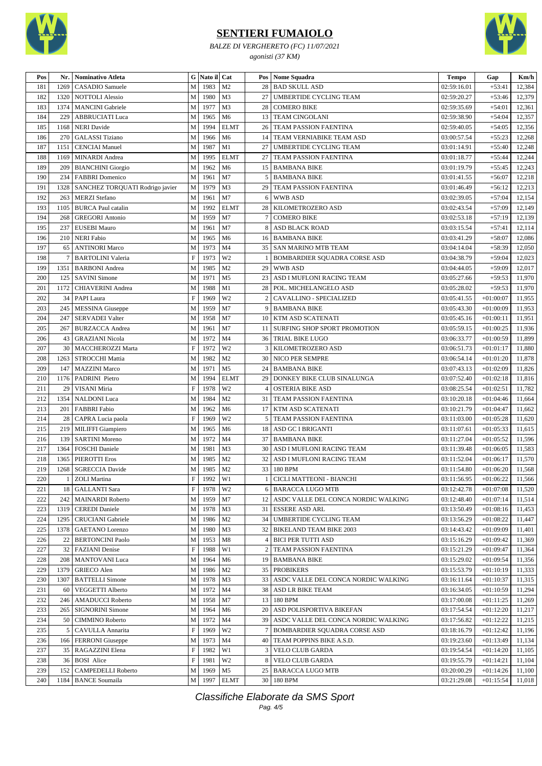

*BALZE DI VERGHERETO (FC) 11/07/2021 agonisti (37 KM)*



| Pos        | Nr.            | Nominativo Atleta                                | G                         | Nato il Cat |                      |                 | <b>Pos</b> Nome Squadra                  | <b>Tempo</b> | Gap         | Km/h   |
|------------|----------------|--------------------------------------------------|---------------------------|-------------|----------------------|-----------------|------------------------------------------|--------------|-------------|--------|
| 181        | 1269           | CASADIO Samuele                                  | $\mathbf{M}$              | 1983        | M <sub>2</sub>       | 28              | <b>BAD SKULL ASD</b>                     | 02:59:16.01  | $+53:41$    | 12,384 |
| 182        | 1320           | <b>NOTTOLI Alessio</b>                           | M                         | 1980        | M <sub>3</sub>       | 27              | <b>UMBERTIDE CYCLING TEAM</b>            | 02:59:20.27  | $+53:46$    | 12,379 |
| 183        | 1374           | <b>MANCINI</b> Gabriele                          | M                         | 1977        | M <sub>3</sub>       | 28              | <b>COMERO BIKE</b>                       | 02:59:35.69  | $+54:01$    | 12,361 |
| 184        | 229            | <b>ABBRUCIATI Luca</b>                           | M                         | 1965        | M <sub>6</sub>       |                 | 13 TEAM CINGOLANI                        | 02:59:38.90  | $+54:04$    | 12,357 |
| 185        | 1168           | <b>NERI</b> Davide                               | M                         | 1994        | <b>ELMT</b>          | 26              | TEAM PASSION FAENTINA                    | 02:59:40.05  | $+54:05$    | 12,356 |
| 186        | 270            | <b>GALASSI</b> Tiziano                           | M                         | 1966        | M <sub>6</sub>       | 14              | TEAM VERNIABIKE TEAM ASD                 | 03:00:57.54  | $+55:23$    | 12,268 |
| 187        | 1151           | <b>CENCIAI</b> Manuel                            | M                         | 1987        | M1                   | 27              | UMBERTIDE CYCLING TEAM                   | 03:01:14.91  | $+55:40$    | 12,248 |
| 188        | 1169           | MINARDI Andrea                                   | M                         | 1995        | <b>ELMT</b>          | 27              | TEAM PASSION FAENTINA                    | 03:01:18.77  | $+55:44$    | 12,244 |
| 189        | 209            | <b>BIANCHINI</b> Giorgio                         | M                         | 1962        | M <sub>6</sub>       | 15              | <b>BAMBANA BIKE</b>                      | 03:01:19.79  | $+55:45$    | 12,243 |
| 190        | 234            | <b>FABBRI</b> Domenico                           | $\mathbf{M}$              | 1961        | M7                   | 5               | <b>BAMBANA BIKE</b>                      | 03:01:41.55  | $+56:07$    | 12,218 |
| 191        | 1328           | SANCHEZ TORQUATI Rodrigo javier                  | M                         | 1979        | M <sub>3</sub>       | 29              | TEAM PASSION FAENTINA                    | 03:01:46.49  | $+56:12$    | 12,213 |
| 192        | 263            | <b>MERZI</b> Stefano                             | M                         | 1961        | M7                   | 6               | <b>WWB ASD</b>                           | 03:02:39.05  | $+57:04$    | 12,154 |
| 193        | 1105           | <b>BURCA</b> Paul catalin                        | $\mathbf{M}$              | 1992        | <b>ELMT</b>          | 28              | KILOMETROZERO ASD                        | 03:02:43.54  | $+57:09$    | 12,149 |
| 194        | 268            | <b>GREGORI Antonio</b>                           | ${\bf M}$                 | 1959        | M <sub>7</sub>       |                 | <b>COMERO BIKE</b>                       | 03:02:53.18  | $+57:19$    | 12,139 |
| 195        | 237            | <b>EUSEBI Mauro</b>                              | M                         | 1961        | M7                   | 8               | <b>ASD BLACK ROAD</b>                    | 03:03:15.54  | $+57:41$    | 12,114 |
| 196        | 210            | <b>NERI</b> Fabio                                | M                         | 1965        | M <sub>6</sub>       |                 | 16 BAMBANA BIKE                          | 03:03:41.29  | $+58:07$    | 12,086 |
| 197        | 65             | <b>ANTINORI Marco</b>                            | M                         | 1973        | M <sub>4</sub>       | 35              | <b>SAN MARINO MTB TEAM</b>               | 03:04:14.04  | $+58:39$    | 12,050 |
| 198        | $\tau$         | <b>BARTOLINI Valeria</b>                         | $\mathbf F$               | 1973        | W <sub>2</sub>       |                 | BOMBARDIER SQUADRA CORSE ASD             | 03:04:38.79  | $+59:04$    | 12,023 |
| 199        | 1351           | <b>BARBONI</b> Andrea                            | M                         | 1985        | M <sub>2</sub>       | 29              | <b>WWB ASD</b>                           | 03:04:44.05  | $+59:09$    | 12,017 |
| 200        | 125            | <b>SAVINI</b> Simone                             | $\mathbf M$               | 1971        | M <sub>5</sub>       | 23              | ASD I MUFLONI RACING TEAM                | 03:05:27.66  | $+59:53$    | 11,970 |
| 201        | 1172           | <b>CHIAVERINI Andrea</b>                         | M                         | 1988        | M1                   | 28              | POL. MICHELANGELO ASD                    | 03:05:28.02  | $+59:53$    | 11,970 |
| 202        | 34             | PAPI Laura                                       | $\mathbf F$               | 1969        | W <sub>2</sub>       | $\overline{2}$  | CAVALLINO - SPECIALIZED                  | 03:05:41.55  | $+01:00:07$ | 11,955 |
| 203        | 245            | <b>MESSINA</b> Giuseppe                          | ${\bf M}$                 | 1959        | M7                   | 9               | <b>BAMBANA BIKE</b>                      | 03:05:43.30  | $+01:00:09$ | 11,953 |
| 204        | 247            | <b>SERVADEI Valter</b>                           | M                         | 1958        | M7                   |                 | 10   KTM ASD SCATENATI                   | 03:05:45.16  | $+01:00:11$ | 11,951 |
| 205        | 267            | <b>BURZACCA</b> Andrea                           | M                         | 1961        | M7                   |                 | 11   SURFING SHOP SPORT PROMOTION        | 03:05:59.15  | $+01:00:25$ | 11,936 |
| 206        | 43             | <b>GRAZIANI</b> Nicola                           | M                         | 1972        | M <sub>4</sub>       | 36              | <b>TRIAL BIKE LUGO</b>                   | 03:06:33.77  | $+01:00:59$ | 11,899 |
| 207        | 30             | MACCHEROZZI Marta                                | $\boldsymbol{\mathrm{F}}$ | 1972        | W <sub>2</sub>       | 3               | KILOMETROZERO ASD                        | 03:06:51.73  | $+01:01:17$ | 11,880 |
| 208        | 1263           | <b>STROCCHI Mattia</b>                           | M                         | 1982        | M <sub>2</sub>       | 30              | NICO PER SEMPRE                          | 03:06:54.14  | $+01:01:20$ | 11,878 |
| 209        | 147            | <b>MAZZINI</b> Marco                             | M                         | 1971        | M <sub>5</sub>       | 24              | <b>BAMBANA BIKE</b>                      | 03:07:43.13  | $+01:02:09$ | 11,826 |
| 210        | 1176           | PADRINI Pietro                                   | M                         | 1994        | <b>ELMT</b>          | 29              | DONKEY BIKE CLUB SINALUNGA               | 03:07:52.40  | $+01:02:18$ | 11,816 |
| 211        | 29             | VISANI Miria                                     | $\mathbf F$               | 1978        | W <sub>2</sub>       | 4               | <b>OSTERIA BIKE ASD</b>                  | 03:08:25.54  | $+01:02:51$ | 11,782 |
| 212        | 1354           | <b>NALDONI</b> Luca                              | M                         | 1984        | M <sub>2</sub>       |                 | 31 TEAM PASSION FAENTINA                 | 03:10:20.18  | $+01:04:46$ | 11,664 |
| 213        | 201            | <b>FABBRI</b> Fabio                              | ${\bf M}$                 | 1962        | M <sub>6</sub>       | 17              | KTM ASD SCATENATI                        | 03:10:21.79  | $+01:04:47$ | 11,662 |
| 214        | 28             | CAPRA Lucia paola                                | $\mathbf F$               | 1969        | W <sub>2</sub>       | 5               | <b>TEAM PASSION FAENTINA</b>             | 03:11:03.00  | $+01:05:28$ | 11,620 |
| 215        | 219            | <b>MILIFFI</b> Giampiero                         | M                         | 1965        | M <sub>6</sub>       |                 | 18 ASD GC I BRIGANTI                     | 03:11:07.61  | $+01:05:33$ | 11,615 |
| 216        | 139            | <b>SARTINI Moreno</b>                            | M                         | 1972        | M <sub>4</sub>       | 37              | <b>BAMBANA BIKE</b>                      | 03:11:27.04  | $+01:05:52$ | 11,596 |
| 217        | 1364           | <b>FOSCHI</b> Daniele                            | M                         | 1981        | M3                   | 30              | ASD I MUFLONI RACING TEAM                | 03:11:39.48  | $+01:06:05$ | 11,583 |
| 218        | 1365           | <b>PIEROTTI</b> Eros                             | M                         | 1985        | M <sub>2</sub>       | 32              | <b>ASD I MUFLONI RACING TEAM</b>         | 03:11:52.04  | $+01:06:17$ | 11,570 |
| 219        | 1268           | <b>SGRECCIA Davide</b>                           | $\mathbf M$               | 1985        | M <sub>2</sub>       |                 | 33 180 BPM                               | 03:11:54.80  | $+01:06:20$ | 11,568 |
| 220        |                | <b>ZOLI</b> Martina                              | $\overline{F}$            | 1992        | W1                   |                 | 1 CICLI MATTEONI - BIANCHI               | 03:11:56.95  | $+01:06:22$ | 11,566 |
|            |                |                                                  | F                         |             |                      |                 | 6 BARACCA LUGO MTB                       |              |             | 11,520 |
| 221        | 18             | <b>GALLANTI</b> Sara                             |                           | 1978        | W <sub>2</sub>       |                 |                                          | 03:12:42.78  | $+01:07:08$ |        |
| 222<br>223 | 242<br>1319    | <b>MAINARDI Roberto</b><br><b>CEREDI</b> Daniele | M                         | 1959        | M7<br>M <sub>3</sub> |                 | 12 ASDC VALLE DEL CONCA NORDIC WALKING   | 03:12:48.40  | $+01:07:14$ | 11,514 |
|            |                |                                                  | M                         | 1978        |                      |                 | 31 ESSERE ASD ARL                        | 03:13:50.49  | $+01:08:16$ | 11,453 |
| 224        | 1295           | <b>CRUCIANI</b> Gabriele                         | M                         | 1986        | M <sub>2</sub>       |                 | 34   UMBERTIDE CYCLING TEAM              | 03:13:56.29  | $+01:08:22$ | 11,447 |
| 225        | 1378           | <b>GAETANO</b> Lorenzo                           | M                         | 1980        | M <sub>3</sub>       |                 | 32   BIKELAND TEAM BIKE 2003             | 03:14:43.42  | $+01:09:09$ | 11,401 |
| 226        | 22             | <b>BERTONCINI Paolo</b>                          | M                         | 1953        | M8                   | 4               | <b>BICI PER TUTTI ASD</b>                | 03:15:16.29  | $+01:09:42$ | 11,369 |
| 227        | 32             | <b>FAZIANI</b> Denise                            | $\mathbf F$               | 1988        | W1                   |                 | TEAM PASSION FAENTINA                    | 03:15:21.29  | $+01:09:47$ | 11,364 |
| 228        | 208            | <b>MANTOVANI</b> Luca                            | ${\bf M}$                 | 1964        | M <sub>6</sub>       |                 | 19 BAMBANA BIKE                          | 03:15:29.02  | $+01:09:54$ | 11,356 |
| 229        | 1379           | <b>GRIECO</b> Alen                               | M                         | 1986        | M <sub>2</sub>       |                 | 35 PROBIKERS                             | 03:15:53.79  | $+01:10:19$ | 11,333 |
| 230        | 1307           | <b>BATTELLI Simone</b>                           | M                         | 1978        | M <sub>3</sub>       |                 | 33   ASDC VALLE DEL CONCA NORDIC WALKING | 03:16:11.64  | $+01:10:37$ | 11,315 |
| 231        | 60             | <b>VEGGETTI Alberto</b>                          | M                         | 1972        | M <sub>4</sub>       |                 | 38 ASD LR BIKE TEAM                      | 03:16:34.05  | $+01:10:59$ | 11,294 |
| 232        | 246            | <b>AMADUCCI</b> Roberto                          | M                         | 1958        | M7                   |                 | 13 180 BPM                               | 03:17:00.08  | $+01:11:25$ | 11,269 |
| 233        | 265            | <b>SIGNORINI Simone</b>                          | M                         | 1964        | M <sub>6</sub>       | 20              | <b>ASD POLISPORTIVA BIKEFAN</b>          | 03:17:54.54  | $+01:12:20$ | 11,217 |
| 234        | 50             | <b>CIMMINO Roberto</b>                           | M                         | 1972        | M4                   |                 | 39   ASDC VALLE DEL CONCA NORDIC WALKING | 03:17:56.82  | $+01:12:22$ | 11,215 |
| 235        | 5 <sup>1</sup> | CAVULLA Annarita                                 | $\boldsymbol{\mathrm{F}}$ | 1969        | W <sub>2</sub>       | 7               | BOMBARDIER SQUADRA CORSE ASD             | 03:18:16.79  | $+01:12:42$ | 11,196 |
| 236        |                | 166   FERRONI Giuseppe                           | M                         | 1973        | M4                   |                 | 40 TEAM POPPINS BIKE A.S.D.              | 03:19:23.60  | $+01:13:49$ | 11,134 |
| 237        | 35             | RAGAZZINI Elena                                  | $\boldsymbol{\mathrm{F}}$ | 1982        | W1                   |                 | 3   VELO CLUB GARDA                      | 03:19:54.54  | $+01:14:20$ | 11,105 |
| 238        | 36             | <b>BOSI</b> Alice                                | $\boldsymbol{\mathrm{F}}$ | 1981        | W <sub>2</sub>       | 8 <sup>1</sup>  | <b>VELO CLUB GARDA</b>                   | 03:19:55.79  | $+01:14:21$ | 11,104 |
| 239        | 152            | <b>CAMPEDELLI Roberto</b>                        | M                         | 1969        | M <sub>5</sub>       | 25 <sub>1</sub> | <b>BARACCA LUGO MTB</b>                  | 03:20:00.29  | $+01:14:26$ | 11,100 |
| 240        | 1184           | <b>BANCE Soumaila</b>                            | М                         | 1997        | <b>ELMT</b>          |                 | 30 180 BPM                               | 03:21:29.08  | $+01:15:54$ | 11,018 |